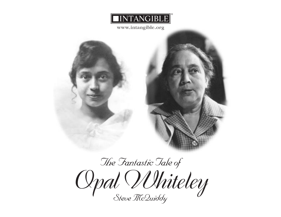

**www.intangible.org**



## *The Fantastic Tale of Opal Whiteley Steve McQuiddy*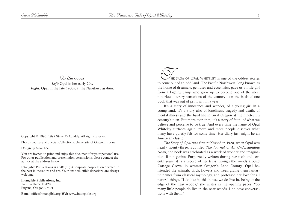## *On the cover*

*Left:* Opal in her early 20s. *Right:* Opal in the late 1960s, at the Napsbury asylum.

Copyright © 1996, 1997 Steve McQuiddy. All rights reserved.

Photos courtesy of Special Collections, University of Oregon Library.

Design by Mike Lee.

You are invited to print and enjoy this document for your personal use. For other publication and presentation permissions, please contact the author at the address below.

Intangible Publications is a  $501(c)(3)$  nonprofit corporation devoted to the best in literature and art. Your tax-deductible donations are always welcome.

**Intangible Publications, Inc.** 1430 Willamette #200 Eugene, Oregon 97401

**E-mail** office@intangible.org **Web** www.intangible.org

THE SAGA OF OPAL WHITELEY is one of the oddest stories<br>to come out of an odd land. The Pacific Northwest, long known as the home of dreamers, geniuses and eccentrics, gave us a little girl from a logging camp who grew up to become one of the most notorious literary sensations of the century—on the basis of one book that was out of print within a year.

It's a story of innocence and wonder, of a young girl in a young land. It's a story also of loneliness, tragedy and death, of mental illness and the hard life in rural Oregon at the nineteenth century's turn. But more than that, it's a story of faith, of what we believe and perceive to be true. And every time the name of Opal Whiteley surfaces again, more and more people discover what many have quietly felt for some time: Her diary just might be an American classic.

*The Story of Opal* was first published in 1920, when Opal was nearly twenty-three. Subtitled *The Journal of An Understanding Heart,* the book was celebrated as a work of wonder and imagination, if not genius. Purportedly written during her sixth and seventh years, it is a record of her trips through the woods around Cottage Grove, in western Oregon's Lane County. Opal befriended the animals, birds, flowers and trees, giving them fantastic names from classical mythology, and professed her love for all natural things. "I do like it, this house we do live in, being at the edge of the near woods," she writes in the opening pages. "So many little people do live in the near woods. I do have conversations with them."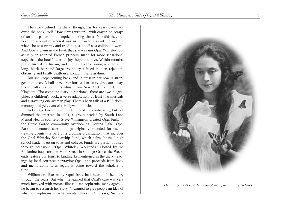The story behind the diary, though, has for years overshadowed the book itself. How it was written—with crayon on scraps of torn-up paper—had skeptics looking closer. Nor did they believe the account of when it was written—critics said she wrote it when she was twenty and tried to pass it off as a childhood work. And Opal's claim in the book that she was *not* Opal Whiteley, but actually an adopted French princess, made for more sensational copy than the book's tales of joy, hope and love. Within months, praise turned to disdain, and the remarkable young woman with long, black hair and large, round eyes faced in turn rejection, obscurity and finally death in a London insane asylum.

But she keeps coming back, and interest in her now is stronger than ever. A half dozen versions of her story circulate today, from Seattle to South Carolina, from New York to the United Kingdom. The complete diary is reprinted; there are two biographies, a children's book, a verse adaptation, at least two musicals and a traveling one-woman play. There's been talk of a BBC documentary, and yes, even of a Hollywood movie.

In Cottage Grove, time has tempered the controversy, but not dimmed the interest. In 1994, a group headed by South Lane Mental Health counselor Steve Williamson created Opal Park, in the Cerro Gordo community overlooking Dorena Lake. Opal Park—the natural surroundings originally intended for use in treating clients—is part of a growing organization that includes the Opal Whiteley Scholarship Fund, which helps "at-risk" high school students go on to attend college. Funds are partially raised through occasional "Opal Whiteley Weekends." Hosted by the Bookmine bookstore on Main Street in Cottage Grove, the Weekends feature bus tours to landmarks mentioned in the diary, readings by local actresses portraying Opal, and proceeds from book and memorabilia sales regularly going toward the scholarship fund.

Williamson, like many Opal fans, had heard of the diary through the years. But when he learned that Opal's case was very much involved with mental illness—schizophrenia, many agree he began to research her story. "I wanted to give people an idea of what schizophrenia is, what mental illness is," he says, "using a



*Detail from 1917 poster promoting Opal's nature lectures.*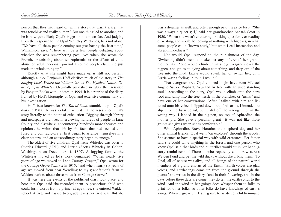person that they had heard of, with a story that wasn't scary, that was touching and really human." But one thing led to another, and he is now quite likely Opal's biggest home-town fan. And judging from the response to the Opal Whiteley Weekends, he's not alone. "We have all these people coming out just having the best time," Williamson says. "There will be a few people debating about whether she was remembering past lives when she wrote the French, or debating about schizophrenia, or the effects of child abuse on adult personality—and a couple people claim she just made the whole thing up."

Exactly what she might have made up is still not certain, although author Benjamin Hoff clarifies much of the story in *The Singing Creek Where the Willows Grow: The Mystical Nature Diary of Opal Whiteley.* Originally published in 1986, then reissued by Penguin Books with updates in 1994, it is a reprint of the diary, framed by Hoff's biography of Opal and extensive commentary on his investigation.

Hoff, best known for *The Tao of Pooh,* stumbled upon Opal's diary in 1983. He was so taken with it that he researched Opal's story literally to the point of exhaustion. Digging through library and newspaper archives, interviewing hundreds of people in Lane County and elsewhere, encountering hundreds more theories and opinions, he writes that "bit by bit, facts that had seemed confused and contradictory at first began to arrange themselves in a clear pattern, and an extraordinary story began to emerge."

The oldest of five children, Opal Irene Whiteley was born to Charles Edward ("Ed") and Lizzie (Scott) Whiteley in Colton, Washington on December 11, 1897. A logging family, the Whiteleys moved as Ed's work demanded. "When nearly five years of age we moved to Lane County, Oregon," Opal wrote for the Cottage Grove *Sentinel* in 1915, "and when nearly six years of age we moved from near Wendling to my grandfather's farm at Walden station, about three miles from Cottage Grove."

It was here the events of the published diary took place, and here that Opal said she recorded them. A precocious child who could form words from a primer at age three, she entered Walden school at five, and passed two grade levels her first year. But she was a dreamer as well, and often enough paid the price for it. "She was always a queer girl," said her grandmother Achsah Scott in 1920. "When she wasn't chattering or asking questions, or reading or writing, she would be looking at nothing with big eyes, in what some people call a 'brown study,' but what I call inattention and absentmindedness."

Nor would Opal respond to the punishment of the day. "Switching didn't seem to make her any different," her grandmother said. "She would climb up in a big evergreen over the pigpen, and get to studying about something, and drop out of the tree into the mud. Lizzie would spank her or switch her, or if Lizzie wasn't feeling up to it, I would."

That evergreen tree Opal climbed might have been Michael Angelo Sanzio Raphael, "a grand fir tree with an understanding soul." According to the diary, Opal would climb onto the barn roof and jump into the tree, nestle in the branches, or "arms," and have one of her conversations. "After I talked with him and listened unto his voice, I slipped down out of his arms. I intended to slip into the barn corral, but I slid off the wrong limb, in the wrong way. I landed in the pig-pen, on top of Aphrodite, the mother pig. She gave a peculiar grunt—it was not like those grunts she gives when she is comfortable."

With Aphrodite, Brave Horatius the shepherd dog and her other animal friends, Opal went "on explores" through the woods. She seemed to have a special way with wild creatures. Her father said she could tame anything in the forest, and one person who knew Opal said that birds and butterflies would sit in her hand (a story reminiscent of Thoreau, who reputedly could row across Walden Pond and pet the wild ducks without disturbing them.) To Opal, all of nature was alive, and all beings of the natural world members of a grand chorus of the Earth. "Earth-voices are glad voices, and earth-songs come up from the ground through the plants," she writes in the diary, "and in their flowering, and in the days before these days are come, they do tell the earth-songs to the wind. And the wind in her goings does whisper them to folks to print for other folks, so other folks do have knowings of earth's songs. When I grow up, I am going to write for children—and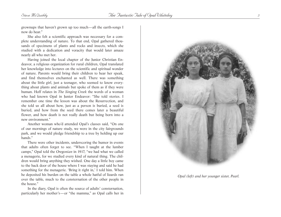grownups that haven't grown up too much—all the earth-songs I now do hear."

She also felt a scientific approach was necessary for a complete understanding of nature. To that end, Opal gathered thousands of specimens of plants and rocks and insects, which she studied with a dedication and voracity that would later amaze nearly all who met her.

Having joined the local chapter of the Junior Christian Endeavor, a religious organization for rural children, Opal translated her knowledge into lectures on the scientific and spiritual wonder of nature. Parents would bring their children to hear her speak, and find themselves enchanted as well. There was something about the little girl, just a teenager, who seemed to know everything about plants and animals but spoke of them as if they were human. Hoff relates in *The Singing Creek* the words of a woman who had known Opal in Junior Endeavor: "She told stories. I remember one time the lesson was about the Resurrection, and she told us all about how, just as a person is buried, a seed is buried, and how from the seed there comes later a beautiful flower, and how death is not really death but being born into a new environment."

Another woman who'd attended Opal's classes said, "On one of our mornings of nature study, we were in the city fairgrounds park, and we would pledge friendship to a tree by holding up our hands."

There were other incidents, underscoring the humor in events that adults often forget to see. "When I taught at the lumber camps," Opal told the *Oregonian* in 1917, "we had what we called a menagerie, for we studied every kind of natural thing. The children would bring anything they wished. One day a little boy came to the back door of the house where I was staying and said he had something for the menagerie. 'Bring it right in,' I told him. When he deposited his burden on the table a whole hatful of lizards ran over the table, much to the consternation of the other people in the house."

In the diary, Opal is often the source of adults' consternation, particularly her mother's—or "the mamma," as Opal calls her in



*Opal (left) and her younger sister, Pearl.*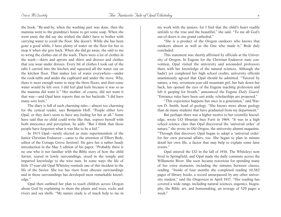the book: "By-and-by, when the washing part was done, then the mamma went to the grandma's house to get some soap. When she went away she did say she wished she didn't have to bother with carrying water to scrub the floor. She doesn't. While she has been gone a good while, I have plenty of water on the floor for her to mop it when she gets back. When she did go away, she said to me to wring the clothes out of the wash. There were a lot of clothes in the wash—skirts and aprons and shirts and dresses and clothes that you wear under dresses. Every bit of clothes I took out of the tubs I carried into the kitchen and squeezed all the water out on the kitchen floor. That makes lots of water everywhere—under the cook-table and under the cupboard and under the stove. Why, there is most enough water to mop the three floors, and then some water would be left over. I did feel glad feels because it was so as the mamma did want it." Her mother, of course, did not want it that way—and Opal later reports that on her backside "I did have many sore feels."

The diary is full of such charming tales—almost too charming for the cynical reader, says Benjamin Hoff. "People either love Opal, or they don't seem to have any feeling for her at all." Some have said that no child could write like that, express herself with both innocence and perception, he adds. "But I think that those people have forgotten what it was like to be a kid."

In 1915 Opal—newly elected as state superintendent of the Junior Christian Endeavor—came to the attention of Elbert Bede, editor of the Cottage Grove *Sentinel.* He gave her a rather heady introduction in the May 5 edition of his paper*:* "Probably there is no one who is not familiar with the Bible story of how the child Savior, reared in lowly surroundings, stood in the temple and imparted knowledge to the wise men. In some ways the life of little 17-year-old Opal Whiteley reminds one of this incident in the life of the Savior. She too has risen from obscure surroundings and in those surroundings has developed most remarkable knowledge."

Opal then outlined her plan to teach children across Oregon about God by explaining to them the plants and trees, rocks and rivers and sea shells. "My nature study is of much help to me in my work with the juniors, for I find that the child's heart readily unfolds to the true and the beautiful," she said. "To me all God's out-of-doors is one grand cathedral."

"She is a product of the Oregon outdoors who knows that outdoors almost as well as the One who made it," Bede duly concluded.

This statement was shortly affirmed by officials at the University of Oregon. In Eugene for the Christian Endeavor state convention, Opal visited the university and astounded professors there with her knowledge of the natural sciences. Although she hadn't yet completed her high school credits, university officials unanimously agreed that Opal should be admitted. "Tutored by nature, a tiny, seventeen-year-old mountain girl, her hair down her back, has opened the eyes of the Eugene teaching profession and left it gasping for breath," announced the Eugene *Daily Guard.* "Entrance rules have been cast aside; scholarships are proposed."

"This experience happens but once in a generation," said Warren D. Smith, head of geology. "She knows more about geology than do many students that have graduated from my department."

But perhaps there was a higher motive to her scientific knowledge, wrote UO librarian Inez Fortt in 1969. "It was in a high school science class that Opal discovered the 'universal order' of nature," she wrote in *Old Oregon*, the university alumni magazine. "Through that discovery Opal began to adopt a 'universal order' for her own personal affairs, too. She began to plan in minute detail her own life, a factor that may help to explain some later events."

Opal entered the UO in the fall of 1916. The Whiteleys now lived in Springfield, and Opal made the daily commute across the Willamette River. She soon became notorious for spending many of her extra moments, including the minutes between classes, reading. "Inside of four months she completed reading 10,582 pages of library books, a record unsurpassed by any other university student," said the *Oregonian* in April 1917. "Her reading has covered a wide range, including natural sciences, eugenics, biography, the Bible, art, and homemaking, an average of 529 pages a week."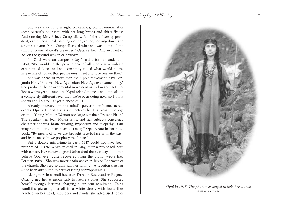She was also quite a sight on campus, often running after some butterfly or insect, with her long braids and skirts flying. And one day Mrs. Prince Campbell, wife of the university president, came upon Opal kneeling on the ground, looking down and singing a hymn. Mrs. Campbell asked what she was doing. "I am singing to one of God's creatures," Opal replied. And in front of her on the ground was an earthworm.

"If Opal were on campus today," said a former student in 1969, "she would be the prize hippie of all. She was a walking exponent of 'love,' and she constantly talked what would be the hippie line of today: that people must meet and love one another."

She was ahead of more than the hippie movement, says Benjamin Hoff. "She was New Age before New Age ever came along." She predated the environmental movement as well—and Hoff believes we've yet to catch up. "Opal related to trees and animals on a completely different level than we're even doing now, so I think she was still 50 to 100 years ahead of us."

Already interested in the mind's power to influence actual events, Opal attended a series of lectures her first year in college on the "Young Man or Woman too large for their Present Place." The speaker was Jean Morris Ellis, and her subjects concerned character analysis, brain building, hypnotism and telepathy. "Our imagination is the instrument of reality," Opal wrote in her notebook. "By means of it we are brought face-to-face with the past, and by means of it we prophesy the future."

But a double misfortune in early 1917 could not have been prophesied. Lizzie Whiteley died in May, after a prolonged bout with cancer. Her maternal grandfather died the next day. "I do not believe Opal ever quite recovered from the blow," wrote Inez Fortt in 1969. "She was never again active in Junior Endeavor or the church. She very seldom saw her family." (A reaction that has since been attributed to her worsening schizophrenia.)

Living now in a small house on Franklin Boulevard in Eugene, Opal turned her attention fully to nature studies. She supported herself through lectures, charging a ten-cent admission. Using handbills picturing herself in a white dress, with butterflies perched on her head, shoulders and hands, she advertised topics



*Opal in 1918. The photo was staged to help her launch a movie career.*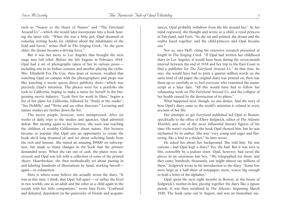such as "Nearer to the Heart of Nature" and "The Fairyland Around Us"—which she would later incorporate into a book bearing the latter title. "When she was a little girl, Opal dreamed of someday writing books for children about the inhabitants of the field and forest," writes Hoff in *The Singing Creek.* "As she grew older, the dream became a driving force."

But it was her move to Los Angeles that brought the next stage into full relief. Before she left Eugene in February 1918, Opal had a set of photographs taken of her in various poses including one in an Indian costume and another playing the violin. Mrs. Elizabeth Fox De Cou, then dean of women, recalled that watching Opal on campus with the photographers and props was like watching a movie queen direct publicity shots—which was precisely Opal's intention. The photos were for a portfolio she took to California, hoping to make a name for herself in the burgeoning movie industry. "Look first for work in films," begins a list of her plans for California, followed by "Study at the studio", "See DeMille" and "Write and see other directors." Lecturing and nature studies are farther down the list.

The movie people, however, were unimpressed. After six weeks of daily trips to the studios and agencies, Opal admitted defeat. But turning again to her lectures, she soon was teaching the children of wealthy Californians about nature. Her lectures became so popular that Opal saw an opportunity to create the book she'd long dreamed of, and set about soliciting funds from the rich and famous. She raised an amazing \$9400 on subscription, but made so many changes in the book that the printers demanded more. When she ran out of cash, the plates were destroyed, and Opal was left with a collection of some of the printed sheets. Heartbroken, she then methodically set about pasting in and labeling hundreds of illustrations by hand, working herself again—to exhaustion.

Here is where some believe she actually wrote the diary. "It was at this time, I think, that Opal 'fell apart'—or rather she lived in two worlds, one as an adult and the other as a child again in the woods with her little companions," wrote Inez Fortt. "Confused and defeated, dependent on the generosity of friends and acquain-

tances, Opal probably withdrew from the life around her." As her mind regressed, she thought and wrote as a child, a royal princess in Fairyland, said Fortt. "As she sat and printed, the dream and the reality fused together, and the child-princess and Opal became one."

Not so, says Hoff, citing his extensive research presented at length in *The Singing Creek.* "If Opal had written her childhood diary in Los Angeles, it would have been during the seven-month interval between the end of 1918 and her trip to the East Coast to find a publisher for *The Fairyland Around Us.*" In that time, he says, she would have had to print a quarter million words on the same kind of old paper the original diary was printed on, then tear them up so carefully as to fool everyone who examined the manuscript at a later date. "All this would have had to follow her exhausting work on *The Fairyland Around Us,* and the collapse of her health caused by the destruction of its plates."

What happened next, though, no one denies. And the story of how Opal's diary came to the world's attention is related in every account of her life:

Her attempts to get *Fairyland* published led Opal to Boston, specifically to the office of Ellery Sedgwick, editor of *The Atlantic Monthly* and one of the most influential literary figures of his time. He wasn't excited by the book Opal showed him, but he was enchanted by its author. She was "very young and eager and fluttering, like a bird in a thicket," he later wrote.

He asked her about her background. She told him. He was curious—had Opal kept a diary? Yes, she had. But it was torn to bits, ostensibly by a jealous sister. Opal, however, had saved the pieces in an enormous hat box. "We telegraphed for them, and they came, hundreds, thousands, one might almost say millions of them," Sedgwick wrote in his introduction to the diary. "Some few were large as a half-sheet of notepaper; more, scarce big enough to hold a letter of the alphabet."

Opal spent the next eight months in Boston, at the house of Sedgwick's mother-in-law, piecing together the diary like a jigsaw puzzle. It was then serialized in *The Atlantic,* beginning March 1920. The book came out in August, and was an immediate suc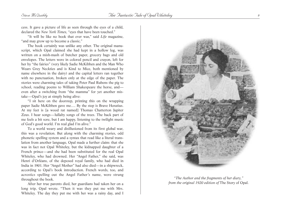cess. It gave a picture of life as seen through the eyes of a child, declared the *New York Times,* "eyes that have been touched."

"It will be like no book that ever was," said *Life* magazine, "and may grow up to become a classic."

The book certainly was unlike any other. The original manuscript, which Opal claimed she had kept in a hollow log, was written on a mish-mash of butcher paper, grocery bags and old envelopes. The letters were in colored pencil and crayon, left for her by "the fairies" (very likely Sadie McKibben and the Man Who Wears Grey Neckties and is Kind to Mice, both mentioned by name elsewhere in the dairy) and the capital letters ran together with no punctuation, broken only at the edge of the paper. The stories were charming tales of taking Peter Paul Rubens the pig to school, reading poems to William Shakespeare the horse, and even after a switching from "the mamma" for yet another mistake—Opal's joy at simply being alive:

"I sit here on the doorstep, printing this on the wrapping paper Sadie McKibben gave me…. By the step is Brave Horatius. At my feet is [a wood rat named] Thomas Chatterton Jupiter Zeus. I hear songs—lullaby songs of the trees. The back part of me feels a bit sore, but I am happy, listening to the twilight music of God's good world. I'm real glad I'm alive."

To a world weary and disillusioned from its first global war, this was a revelation. But along with the charming stories, odd phonetic spelling system and a syntax that read like a literal translation from another language, Opal made a further claim: that she was in fact not Opal Whiteley, but the kidnapped daughter of a French prince—and she had been substituted for the real Opal Whiteley, who had drowned. Her "Angel Father," she said, was Henri d'Orléans, of the deposed royal family, who had died in India in 1901. Her "Angel Mother" had also died—in a shipwreck, according to Opal's book introduction. French words, too, and acrostics spelling out the Angel Father's name, were strung throughout the book.

After her true parents died, her guardians had taken her on a long trip, Opal wrote. "Then it was they put me with Mrs. Whiteley. The day they put me with her was a rainy day, and I



*"The Author and the fragments of her diary," from the original 1920 edition of* The Story of Opal.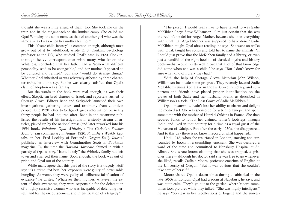thought she was a little afraid of them, too. She took me on the train and in the stage-coach to the lumber camp. She called me Opal Whiteley, the same name as that of another girl who was the same size as I was when her mother lost her."

This "foster-child fantasy" is common enough, although most grow out of it by adulthood, wrote E. S. Conklin, psychology professor at the UO, who studied Opal's case in 1920. Conklin, through heavy correspondence with many who knew the Whiteleys, concluded that her father had a "somewhat difficult personality, said to be changeable," and her mother "appeared to be cultured and refined," but also "would do strange things." Whether Opal inherited or was adversely affected by these character traits, he didn't say. But he was clearly satisfied that Opal's claim of adoption was a fantasy.

But the words in the book were real enough, as was their effect. Skepticism bred charges of fraud, and reporters rushed to Cottage Grove. Editors Bede and Sedgwick launched their own investigations, gathering letters and testimony from countless people. One 1920 letter to Sedgwick gives information on nearly thirty people he had inquired after. Bede in the meantime published the results of his investigations in a steady stream of articles, picked up by the national press (and later reworked into his 1954 book, *Fabulous Opal Whiteley*.) The *Christian Science Monitor* ran commentary in August 1920. *Publishers Weekly* kept tabs on her. Fred Lockley of Portland's *Oregon Daily Journal* published an interview with Grandmother Scott in *Bookman* magazine. By the time the *Harvard Advocate* chimed in with a parody of Opal's story, "Isette Likely," the Whiteley family had left town and changed their name. Soon enough, the book was out of print, and Opal out of the country.

While many agree that this part of the story is a tragedy, Hoff says it's a crime. "At best, her 'exposers' were guilty of inexcusable bungling. At worst, they were guilty of deliberate falsification of evidence," he writes. "Whatever their motives, whatever the extent of their awareness, they were responsible for the defamation of a highly sensitive woman who was incapable of defending herself, and for the encouragement and intensification of a tragedy."

"The person I would really like to have talked to was Sadie McKibben," says Steve Williamson. "I'm just certain that she was the real-life model for Angel Mother, because she does everything with Opal that Angel Mother was supposed to have done." Sadie McKibben taught Opal about reading, he says. She went on walks with Opal, taught her songs and told her to name the animals. "If I could just prove that the McKibben family had a library, or even just a handful of the right books—of classical myths and history books—that would pretty well prove that a lot of that knowledge did come when she was a child," he says. "But I don't know for sure what kind of library they had."

With the help of Cottage Grove historian John Wilson, Williamson has made some progress. They recently located Sadie McKibben's unmarked grave in the Fir Grove Cemetary, and supporters and friends have placed proper identification on the graves of both Sadie and her husband, Frank, as described in Williamson's article, "The Lost Grave of Sadie McKibben."

Opal, meanwhile, hadn't lost her ability to charm and delight the monied set. She was sponsored for a trip to Europe, and spent some time with the mother of Henri d-Orléans in France. She then secured funds to follow her claimed father's footsteps through India, and lived in that country for a time as a royal guest of the Maharana of Udaipur. But after the early 1930s, she disappeared. And to this day there is no known record of what happened.…

Until 1948, when she resurfaced in London, starving and surrounded by books in a crumbling tenement. She was declared a ward of the state and committed to Napsbury Hospital at St. Albans. She wrote letters claiming that she was trapped, a prisoner there—although her doctor said she was free to go whenever she liked, recalls Carlisle Moore, professor emeritus of English at the University of Oregon. "But it was obvious that she couldn't take care of herself."

Moore visited Opal a dozen times during a sabbatical in the late 1960s in London. Opal had a room at Napsbury, he says, and was quite calm. They'd go out to the garden, where Moore sometimes took pictures while they talked. "She was highly intelligent," he says. "So clear in her recollections of Eugene and the univer